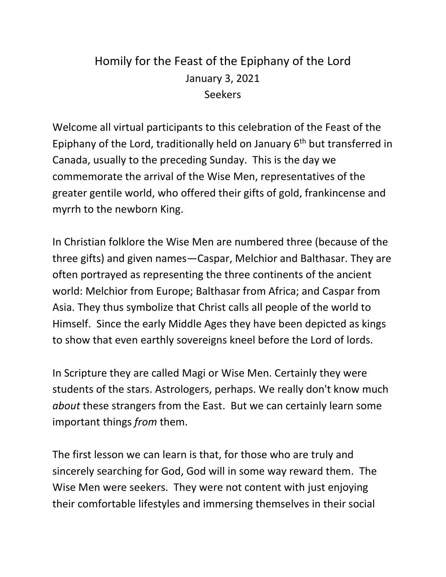## Homily for the Feast of the Epiphany of the Lord January 3, 2021 Seekers

Welcome all virtual participants to this celebration of the Feast of the Epiphany of the Lord, traditionally held on January  $6<sup>th</sup>$  but transferred in Canada, usually to the preceding Sunday. This is the day we commemorate the arrival of the Wise Men, representatives of the greater gentile world, who offered their gifts of gold, frankincense and myrrh to the newborn King.

In Christian folklore the Wise Men are numbered three (because of the three gifts) and given names—Caspar, Melchior and Balthasar. They are often portrayed as representing the three continents of the ancient world: Melchior from Europe; Balthasar from Africa; and Caspar from Asia. They thus symbolize that Christ calls all people of the world to Himself. Since the early Middle Ages they have been depicted as kings to show that even earthly sovereigns kneel before the Lord of lords.

In Scripture they are called Magi or Wise Men. Certainly they were students of the stars. Astrologers, perhaps. We really don't know much *about* these strangers from the East. But we can certainly learn some important things *from* them.

The first lesson we can learn is that, for those who are truly and sincerely searching for God, God will in some way reward them. The Wise Men were seekers. They were not content with just enjoying their comfortable lifestyles and immersing themselves in their social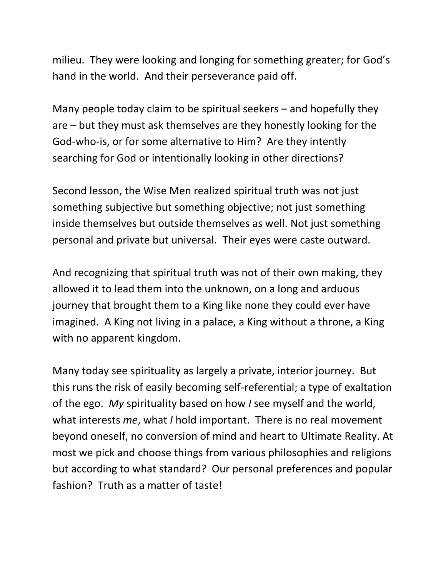milieu. They were looking and longing for something greater; for God's hand in the world. And their perseverance paid off.

Many people today claim to be spiritual seekers – and hopefully they are – but they must ask themselves are they honestly looking for the God-who-is, or for some alternative to Him? Are they intently searching for God or intentionally looking in other directions?

Second lesson, the Wise Men realized spiritual truth was not just something subjective but something objective; not just something inside themselves but outside themselves as well. Not just something personal and private but universal. Their eyes were caste outward.

And recognizing that spiritual truth was not of their own making, they allowed it to lead them into the unknown, on a long and arduous journey that brought them to a King like none they could ever have imagined. A King not living in a palace, a King without a throne, a King with no apparent kingdom.

Many today see spirituality as largely a private, interior journey. But this runs the risk of easily becoming self-referential; a type of exaltation of the ego. *My* spirituality based on how *I* see myself and the world, what interests *me*, what *I* hold important. There is no real movement beyond oneself, no conversion of mind and heart to Ultimate Reality. At most we pick and choose things from various philosophies and religions but according to what standard? Our personal preferences and popular fashion? Truth as a matter of taste!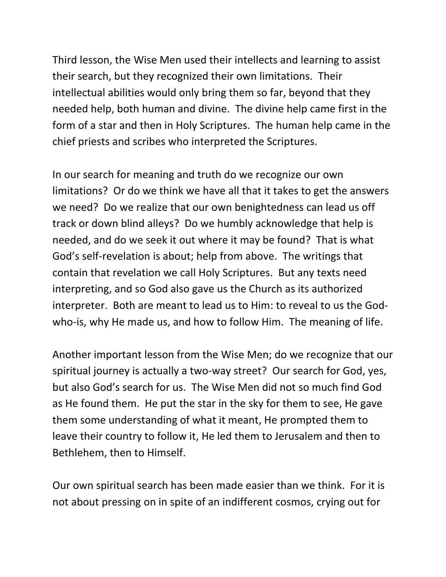Third lesson, the Wise Men used their intellects and learning to assist their search, but they recognized their own limitations. Their intellectual abilities would only bring them so far, beyond that they needed help, both human and divine. The divine help came first in the form of a star and then in Holy Scriptures. The human help came in the chief priests and scribes who interpreted the Scriptures.

In our search for meaning and truth do we recognize our own limitations? Or do we think we have all that it takes to get the answers we need? Do we realize that our own benightedness can lead us off track or down blind alleys? Do we humbly acknowledge that help is needed, and do we seek it out where it may be found? That is what God's self-revelation is about; help from above. The writings that contain that revelation we call Holy Scriptures. But any texts need interpreting, and so God also gave us the Church as its authorized interpreter. Both are meant to lead us to Him: to reveal to us the Godwho-is, why He made us, and how to follow Him. The meaning of life.

Another important lesson from the Wise Men; do we recognize that our spiritual journey is actually a two-way street? Our search for God, yes, but also God's search for us. The Wise Men did not so much find God as He found them. He put the star in the sky for them to see, He gave them some understanding of what it meant, He prompted them to leave their country to follow it, He led them to Jerusalem and then to Bethlehem, then to Himself.

Our own spiritual search has been made easier than we think. For it is not about pressing on in spite of an indifferent cosmos, crying out for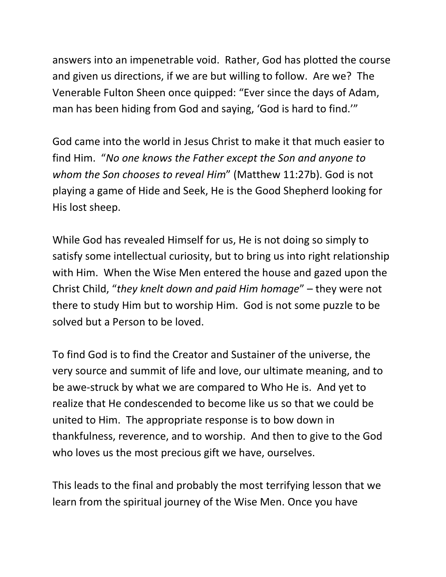answers into an impenetrable void. Rather, God has plotted the course and given us directions, if we are but willing to follow. Are we? The Venerable Fulton Sheen once quipped: "Ever since the days of Adam, man has been hiding from God and saying, 'God is hard to find.'"

God came into the world in Jesus Christ to make it that much easier to find Him. "*No one knows the Father except the Son and anyone to whom the Son chooses to reveal Him*" (Matthew 11:27b). God is not playing a game of Hide and Seek, He is the Good Shepherd looking for His lost sheep.

While God has revealed Himself for us, He is not doing so simply to satisfy some intellectual curiosity, but to bring us into right relationship with Him. When the Wise Men entered the house and gazed upon the Christ Child, "*they knelt down and paid Him homage*" – they were not there to study Him but to worship Him. God is not some puzzle to be solved but a Person to be loved.

To find God is to find the Creator and Sustainer of the universe, the very source and summit of life and love, our ultimate meaning, and to be awe-struck by what we are compared to Who He is. And yet to realize that He condescended to become like us so that we could be united to Him. The appropriate response is to bow down in thankfulness, reverence, and to worship. And then to give to the God who loves us the most precious gift we have, ourselves.

This leads to the final and probably the most terrifying lesson that we learn from the spiritual journey of the Wise Men. Once you have